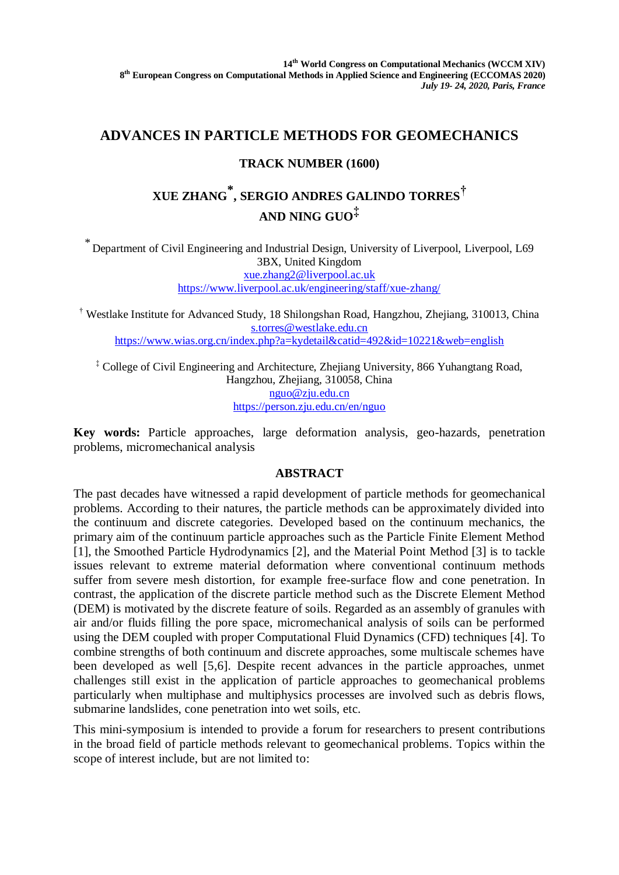# **ADVANCES IN PARTICLE METHODS FOR GEOMECHANICS**

## **TRACK NUMBER (1600)**

# **XUE ZHANG \* , SERGIO ANDRES GALINDO TORRES† AND NING GUO‡**

\* Department of Civil Engineering and Industrial Design, University of Liverpool, Liverpool, L69 3BX, United Kingdom [xue.zhang2@liverpool.ac.uk](mailto:xue.zhang2@liverpool.ac.uk) <https://www.liverpool.ac.uk/engineering/staff/xue-zhang/>

† Westlake Institute for Advanced Study, 18 Shilongshan Road, Hangzhou, Zhejiang, 310013, China [s.torres@westlake.edu.cn](mailto:s.torres@westlake.edu.cn) <https://www.wias.org.cn/index.php?a=kydetail&catid=492&id=10221&web=english>

‡ College of Civil Engineering and Architecture, Zhejiang University, 866 Yuhangtang Road, Hangzhou, Zhejiang, 310058, China [nguo@zju.edu.cn](mailto:nguo@zju.edu.cn) <https://person.zju.edu.cn/en/nguo>

**Key words:** Particle approaches, large deformation analysis, geo-hazards, penetration problems, micromechanical analysis

### **ABSTRACT**

The past decades have witnessed a rapid development of particle methods for geomechanical problems. According to their natures, the particle methods can be approximately divided into the continuum and discrete categories. Developed based on the continuum mechanics, the primary aim of the continuum particle approaches such as the Particle Finite Element Method [1], the Smoothed Particle Hydrodynamics [2], and the Material Point Method [3] is to tackle issues relevant to extreme material deformation where conventional continuum methods suffer from severe mesh distortion, for example free-surface flow and cone penetration. In contrast, the application of the discrete particle method such as the Discrete Element Method (DEM) is motivated by the discrete feature of soils. Regarded as an assembly of granules with air and/or fluids filling the pore space, micromechanical analysis of soils can be performed using the DEM coupled with proper Computational Fluid Dynamics (CFD) techniques [4]. To combine strengths of both continuum and discrete approaches, some multiscale schemes have been developed as well [5,6]. Despite recent advances in the particle approaches, unmet challenges still exist in the application of particle approaches to geomechanical problems particularly when multiphase and multiphysics processes are involved such as debris flows, submarine landslides, cone penetration into wet soils, etc.

This mini-symposium is intended to provide a forum for researchers to present contributions in the broad field of particle methods relevant to geomechanical problems. Topics within the scope of interest include, but are not limited to: